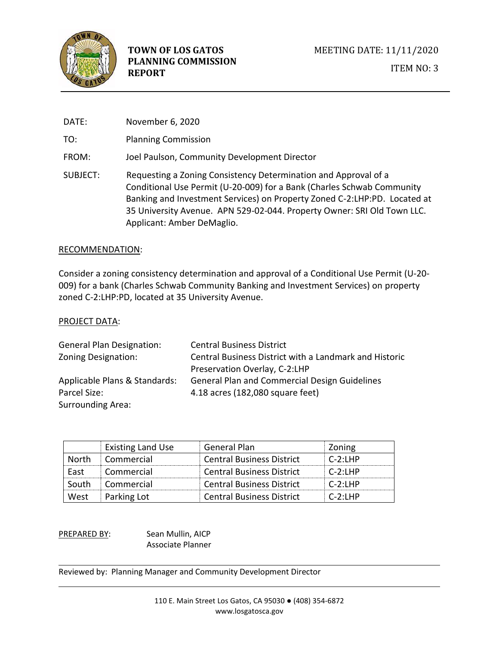

DATE: November 6, 2020 TO: Planning Commission FROM: Joel Paulson, Community Development Director SUBJECT: Requesting a Zoning Consistency Determination and Approval of a Conditional Use Permit (U-20-009) for a Bank (Charles Schwab Community Banking and Investment Services) on Property Zoned C-2:LHP:PD. Located at 35 University Avenue. APN 529-02-044. Property Owner: SRI Old Town LLC. Applicant: Amber DeMaglio.

#### RECOMMENDATION:

Consider a zoning consistency determination and approval of a Conditional Use Permit (U-20- 009) for a bank (Charles Schwab Community Banking and Investment Services) on property zoned C-2:LHP:PD, located at 35 University Avenue.

#### PROJECT DATA:

| <b>General Plan Designation:</b> | <b>Central Business District</b>                       |
|----------------------------------|--------------------------------------------------------|
| Zoning Designation:              | Central Business District with a Landmark and Historic |
|                                  | Preservation Overlay, C-2:LHP                          |
| Applicable Plans & Standards:    | <b>General Plan and Commercial Design Guidelines</b>   |
| Parcel Size:                     | 4.18 acres (182,080 square feet)                       |
| <b>Surrounding Area:</b>         |                                                        |

|       | <b>Existing Land Use</b> | <b>General Plan</b>              | Zoning     |
|-------|--------------------------|----------------------------------|------------|
| North | Commercial               | <b>Central Business District</b> | $C-2:1HP$  |
| East  | Commercial               | <b>Central Business District</b> | $C-2:1HP$  |
| South | Commercial               | <b>Central Business District</b> | $C-2:1HP$  |
| West  | Parking Lot              | <b>Central Business District</b> | $C-2$ : HP |

PREPARED BY: Sean Mullin, AICP Associate Planner

Reviewed by: Planning Manager and Community Development Director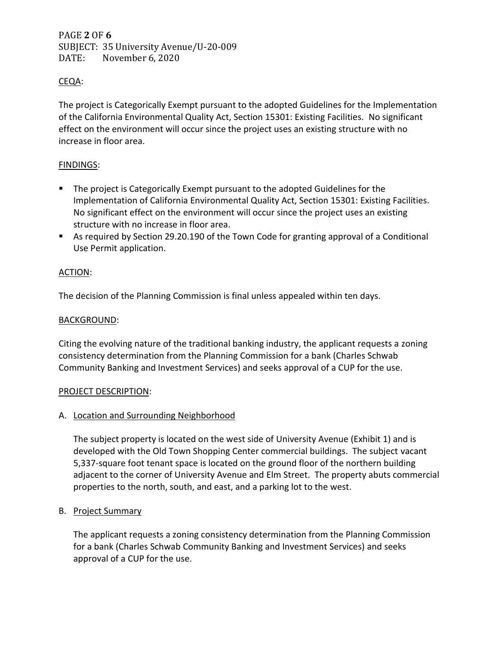# PAGE **2** OF **6** SUBJECT: 35 University Avenue/U-20-009 DATE: November 6, 2020

# CEQA:

The project is Categorically Exempt pursuant to the adopted Guidelines for the Implementation of the California Environmental Quality Act, Section 15301: Existing Facilities. No significant effect on the environment will occur since the project uses an existing structure with no increase in floor area.

# FINDINGS:

- The project is Categorically Exempt pursuant to the adopted Guidelines for the Implementation of California Environmental Quality Act, Section 15301: Existing Facilities. No significant effect on the environment will occur since the project uses an existing structure with no increase in floor area.
- As required by Section 29.20.190 of the Town Code for granting approval of a Conditional Use Permit application.

# ACTION:

The decision of the Planning Commission is final unless appealed within ten days.

# BACKGROUND:

Citing the evolving nature of the traditional banking industry, the applicant requests a zoning consistency determination from the Planning Commission for a bank (Charles Schwab Community Banking and Investment Services) and seeks approval of a CUP for the use.

# PROJECT DESCRIPTION:

# A. Location and Surrounding Neighborhood

The subject property is located on the west side of University Avenue (Exhibit 1) and is developed with the Old Town Shopping Center commercial buildings. The subject vacant 5,337-square foot tenant space is located on the ground floor of the northern building adjacent to the corner of University Avenue and Elm Street. The property abuts commercial properties to the north, south, and east, and a parking lot to the west.

# B. Project Summary

The applicant requests a zoning consistency determination from the Planning Commission for a bank (Charles Schwab Community Banking and Investment Services) and seeks approval of a CUP for the use.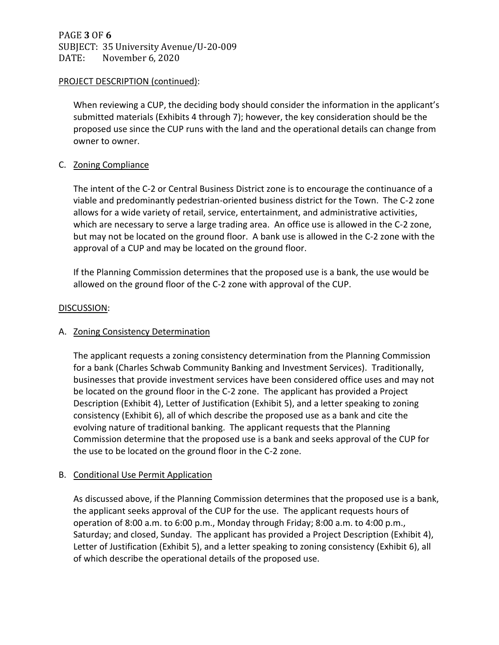PAGE **3** OF **6** SUBJECT: 35 University Avenue/U-20-009 DATE: November 6, 2020

### PROJECT DESCRIPTION (continued):

When reviewing a CUP, the deciding body should consider the information in the applicant's submitted materials (Exhibits 4 through 7); however, the key consideration should be the proposed use since the CUP runs with the land and the operational details can change from owner to owner.

# C. Zoning Compliance

The intent of the C-2 or Central Business District zone is to encourage the continuance of a viable and predominantly pedestrian-oriented business district for the Town. The C-2 zone allows for a wide variety of retail, service, entertainment, and administrative activities, which are necessary to serve a large trading area. An office use is allowed in the C-2 zone, but may not be located on the ground floor. A bank use is allowed in the C-2 zone with the approval of a CUP and may be located on the ground floor.

If the Planning Commission determines that the proposed use is a bank, the use would be allowed on the ground floor of the C-2 zone with approval of the CUP.

### DISCUSSION:

# A. Zoning Consistency Determination

The applicant requests a zoning consistency determination from the Planning Commission for a bank (Charles Schwab Community Banking and Investment Services). Traditionally, businesses that provide investment services have been considered office uses and may not be located on the ground floor in the C-2 zone. The applicant has provided a Project Description (Exhibit 4), Letter of Justification (Exhibit 5), and a letter speaking to zoning consistency (Exhibit 6), all of which describe the proposed use as a bank and cite the evolving nature of traditional banking. The applicant requests that the Planning Commission determine that the proposed use is a bank and seeks approval of the CUP for the use to be located on the ground floor in the C-2 zone.

# B. Conditional Use Permit Application

As discussed above, if the Planning Commission determines that the proposed use is a bank, the applicant seeks approval of the CUP for the use. The applicant requests hours of operation of 8:00 a.m. to 6:00 p.m., Monday through Friday; 8:00 a.m. to 4:00 p.m., Saturday; and closed, Sunday. The applicant has provided a Project Description (Exhibit 4), Letter of Justification (Exhibit 5), and a letter speaking to zoning consistency (Exhibit 6), all of which describe the operational details of the proposed use.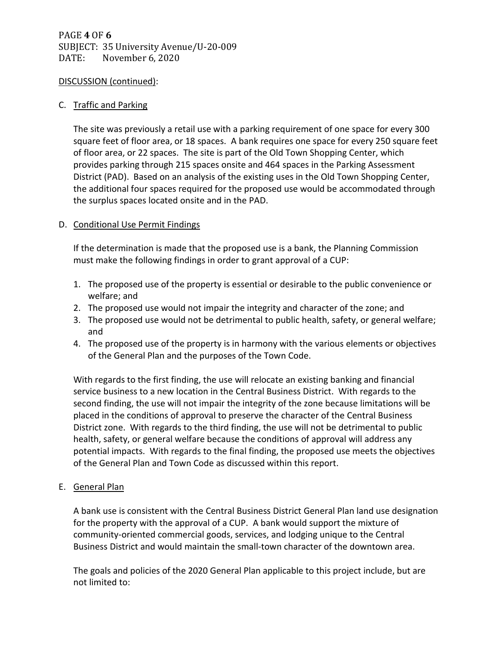# PAGE **4** OF **6** SUBJECT: 35 University Avenue/U-20-009 DATE: November 6, 2020

### DISCUSSION (continued):

### C. Traffic and Parking

The site was previously a retail use with a parking requirement of one space for every 300 square feet of floor area, or 18 spaces. A bank requires one space for every 250 square feet of floor area, or 22 spaces. The site is part of the Old Town Shopping Center, which provides parking through 215 spaces onsite and 464 spaces in the Parking Assessment District (PAD). Based on an analysis of the existing uses in the Old Town Shopping Center, the additional four spaces required for the proposed use would be accommodated through the surplus spaces located onsite and in the PAD.

# D. Conditional Use Permit Findings

If the determination is made that the proposed use is a bank, the Planning Commission must make the following findings in order to grant approval of a CUP:

- 1. The proposed use of the property is essential or desirable to the public convenience or welfare; and
- 2. The proposed use would not impair the integrity and character of the zone; and
- 3. The proposed use would not be detrimental to public health, safety, or general welfare; and
- 4. The proposed use of the property is in harmony with the various elements or objectives of the General Plan and the purposes of the Town Code.

With regards to the first finding, the use will relocate an existing banking and financial service business to a new location in the Central Business District. With regards to the second finding, the use will not impair the integrity of the zone because limitations will be placed in the conditions of approval to preserve the character of the Central Business District zone. With regards to the third finding, the use will not be detrimental to public health, safety, or general welfare because the conditions of approval will address any potential impacts. With regards to the final finding, the proposed use meets the objectives of the General Plan and Town Code as discussed within this report.

E. General Plan

A bank use is consistent with the Central Business District General Plan land use designation for the property with the approval of a CUP. A bank would support the mixture of community-oriented commercial goods, services, and lodging unique to the Central Business District and would maintain the small-town character of the downtown area.

The goals and policies of the 2020 General Plan applicable to this project include, but are not limited to: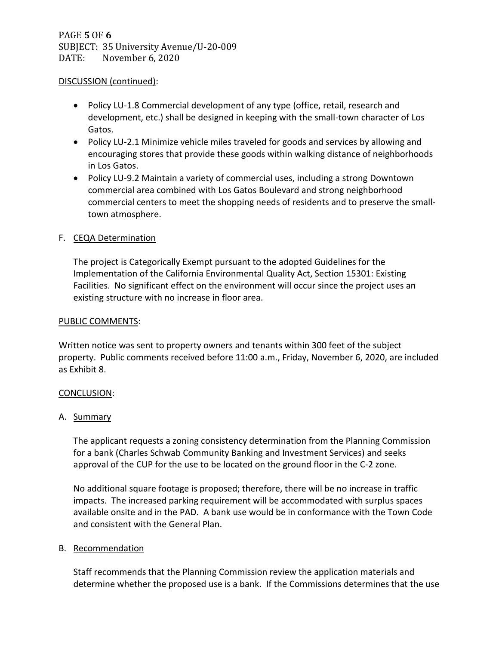# PAGE **5** OF **6** SUBJECT: 35 University Avenue/U-20-009 DATE: November 6, 2020

### DISCUSSION (continued):

- Policy LU-1.8 Commercial development of any type (office, retail, research and development, etc.) shall be designed in keeping with the small-town character of Los Gatos.
- Policy LU-2.1 Minimize vehicle miles traveled for goods and services by allowing and encouraging stores that provide these goods within walking distance of neighborhoods in Los Gatos.
- Policy LU-9.2 Maintain a variety of commercial uses, including a strong Downtown commercial area combined with Los Gatos Boulevard and strong neighborhood commercial centers to meet the shopping needs of residents and to preserve the smalltown atmosphere.

# F. CEQA Determination

The project is Categorically Exempt pursuant to the adopted Guidelines for the Implementation of the California Environmental Quality Act, Section 15301: Existing Facilities. No significant effect on the environment will occur since the project uses an existing structure with no increase in floor area.

### PUBLIC COMMENTS:

Written notice was sent to property owners and tenants within 300 feet of the subject property. Public comments received before 11:00 a.m., Friday, November 6, 2020, are included as Exhibit 8.

#### CONCLUSION:

# A. Summary

The applicant requests a zoning consistency determination from the Planning Commission for a bank (Charles Schwab Community Banking and Investment Services) and seeks approval of the CUP for the use to be located on the ground floor in the C-2 zone.

No additional square footage is proposed; therefore, there will be no increase in traffic impacts. The increased parking requirement will be accommodated with surplus spaces available onsite and in the PAD. A bank use would be in conformance with the Town Code and consistent with the General Plan.

# B. Recommendation

Staff recommends that the Planning Commission review the application materials and determine whether the proposed use is a bank. If the Commissions determines that the use